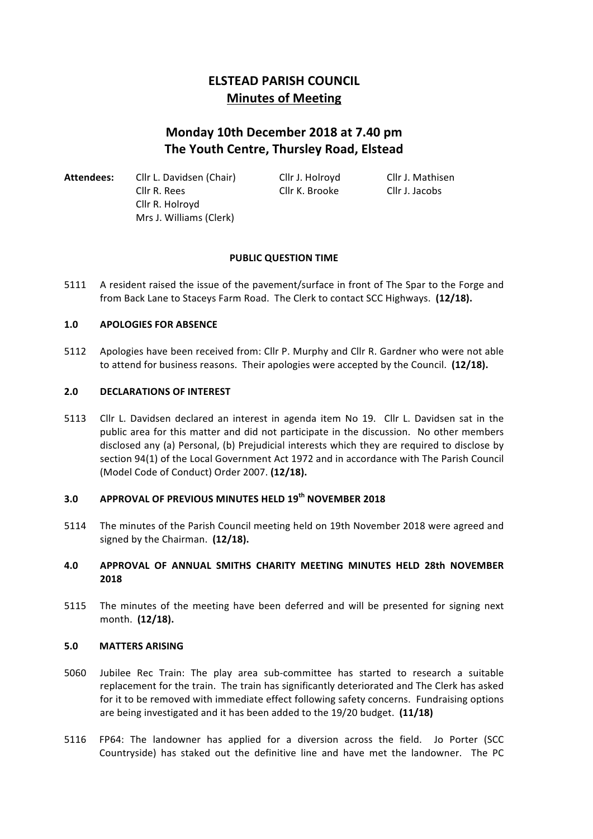# **ELSTEAD PARISH COUNCIL Minutes of Meeting**

# **Monday 10th December 2018 at 7.40 pm The Youth Centre, Thursley Road, Elstead**

Attendees: Cllr L. Davidsen (Chair) Cllr J. Holroyd Cllr J. Mathisen Cllr R. Rees Cllr K. Brooke Cllr J. Jacobs Cllr R. Holroyd Mrs J. Williams (Clerk)

# **PUBLIC OUESTION TIME**

5111 A resident raised the issue of the pavement/surface in front of The Spar to the Forge and from Back Lane to Staceys Farm Road. The Clerk to contact SCC Highways. (12/18).

# 1.0 **APOLOGIES FOR ABSENCE**

5112 Apologies have been received from: Cllr P. Murphy and Cllr R. Gardner who were not able to attend for business reasons. Their apologies were accepted by the Council. (12/18).

## **2.0 DECLARATIONS OF INTEREST**

5113 Cllr L. Davidsen declared an interest in agenda item No 19. Cllr L. Davidsen sat in the public area for this matter and did not participate in the discussion. No other members disclosed any (a) Personal, (b) Prejudicial interests which they are required to disclose by section 94(1) of the Local Government Act 1972 and in accordance with The Parish Council (Model Code of Conduct) Order 2007. **(12/18).**

# **3.0 APPROVAL OF PREVIOUS MINUTES HELD 19th NOVEMBER 2018**

5114 The minutes of the Parish Council meeting held on 19th November 2018 were agreed and signed by the Chairman. (12/18).

# **4.0 APPROVAL OF ANNUAL SMITHS CHARITY MEETING MINUTES HELD 28th NOVEMBER 2018**

5115 The minutes of the meeting have been deferred and will be presented for signing next month. (12/18).

## **5.0 MATTERS ARISING**

- 5060 Jubilee Rec Train: The play area sub-committee has started to research a suitable replacement for the train. The train has significantly deteriorated and The Clerk has asked for it to be removed with immediate effect following safety concerns. Fundraising options are being investigated and it has been added to the 19/20 budget. (11/18)
- 5116 FP64: The landowner has applied for a diversion across the field. Jo Porter (SCC Countryside) has staked out the definitive line and have met the landowner. The PC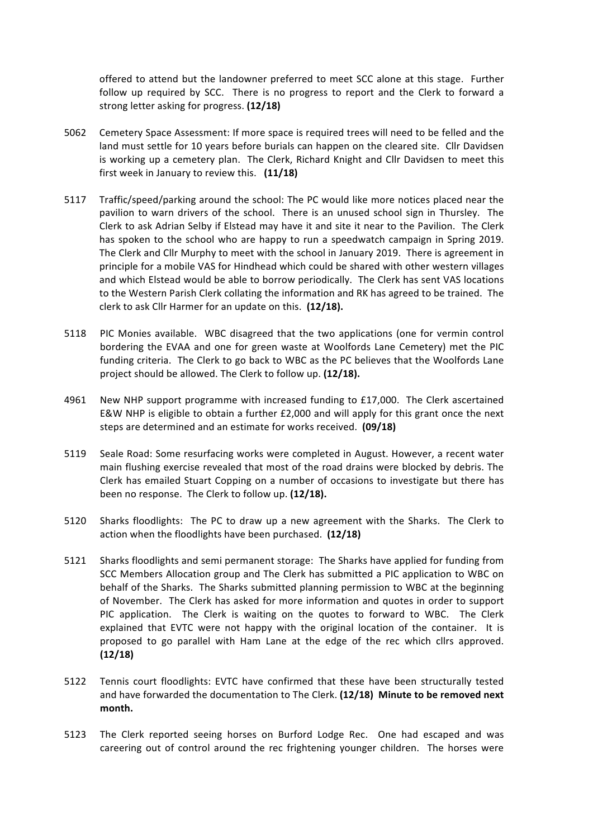offered to attend but the landowner preferred to meet SCC alone at this stage. Further follow up required by SCC. There is no progress to report and the Clerk to forward a strong letter asking for progress. **(12/18)** 

- 5062 Cemetery Space Assessment: If more space is required trees will need to be felled and the land must settle for 10 years before burials can happen on the cleared site. Cllr Davidsen is working up a cemetery plan. The Clerk, Richard Knight and Cllr Davidsen to meet this first week in January to review this. (11/18)
- 5117 Traffic/speed/parking around the school: The PC would like more notices placed near the pavilion to warn drivers of the school. There is an unused school sign in Thursley. The Clerk to ask Adrian Selby if Elstead may have it and site it near to the Pavilion. The Clerk has spoken to the school who are happy to run a speedwatch campaign in Spring 2019. The Clerk and Cllr Murphy to meet with the school in January 2019. There is agreement in principle for a mobile VAS for Hindhead which could be shared with other western villages and which Elstead would be able to borrow periodically. The Clerk has sent VAS locations to the Western Parish Clerk collating the information and RK has agreed to be trained. The clerk to ask Cllr Harmer for an update on this. (12/18).
- 5118 PIC Monies available. WBC disagreed that the two applications (one for vermin control bordering the EVAA and one for green waste at Woolfords Lane Cemetery) met the PIC funding criteria. The Clerk to go back to WBC as the PC believes that the Woolfords Lane project should be allowed. The Clerk to follow up. (12/18).
- 4961 New NHP support programme with increased funding to £17,000. The Clerk ascertained E&W NHP is eligible to obtain a further  $£2,000$  and will apply for this grant once the next steps are determined and an estimate for works received. (09/18)
- 5119 Seale Road: Some resurfacing works were completed in August. However, a recent water main flushing exercise revealed that most of the road drains were blocked by debris. The Clerk has emailed Stuart Copping on a number of occasions to investigate but there has been no response. The Clerk to follow up. (12/18).
- 5120 Sharks floodlights: The PC to draw up a new agreement with the Sharks. The Clerk to action when the floodlights have been purchased. (12/18)
- 5121 Sharks floodlights and semi permanent storage: The Sharks have applied for funding from SCC Members Allocation group and The Clerk has submitted a PIC application to WBC on behalf of the Sharks. The Sharks submitted planning permission to WBC at the beginning of November. The Clerk has asked for more information and quotes in order to support PIC application. The Clerk is waiting on the quotes to forward to WBC. The Clerk explained that EVTC were not happy with the original location of the container. It is proposed to go parallel with Ham Lane at the edge of the rec which cllrs approved. **(12/18)**
- 5122 Tennis court floodlights: EVTC have confirmed that these have been structurally tested and have forwarded the documentation to The Clerk. (12/18) Minute to be removed next **month.**
- 5123 The Clerk reported seeing horses on Burford Lodge Rec. One had escaped and was careering out of control around the rec frightening younger children. The horses were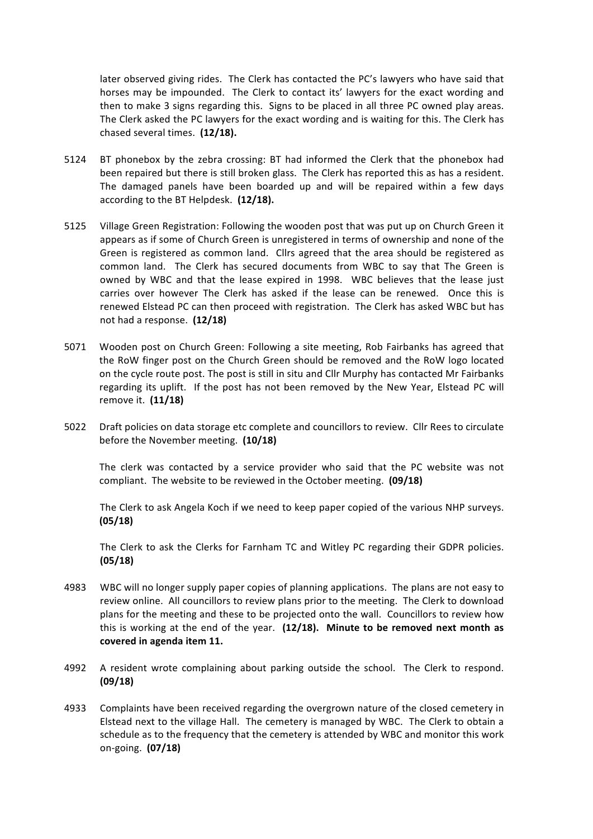later observed giving rides. The Clerk has contacted the PC's lawyers who have said that horses may be impounded. The Clerk to contact its' lawyers for the exact wording and then to make 3 signs regarding this. Signs to be placed in all three PC owned play areas. The Clerk asked the PC lawyers for the exact wording and is waiting for this. The Clerk has chased several times. (12/18).

- 5124 BT phonebox by the zebra crossing: BT had informed the Clerk that the phonebox had been repaired but there is still broken glass. The Clerk has reported this as has a resident. The damaged panels have been boarded up and will be repaired within a few days according to the BT Helpdesk. (12/18).
- 5125 Village Green Registration: Following the wooden post that was put up on Church Green it appears as if some of Church Green is unregistered in terms of ownership and none of the Green is registered as common land. Cllrs agreed that the area should be registered as common land. The Clerk has secured documents from WBC to say that The Green is owned by WBC and that the lease expired in 1998. WBC believes that the lease just carries over however The Clerk has asked if the lease can be renewed. Once this is renewed Elstead PC can then proceed with registration. The Clerk has asked WBC but has not had a response. **(12/18)**
- 5071 Wooden post on Church Green: Following a site meeting, Rob Fairbanks has agreed that the RoW finger post on the Church Green should be removed and the RoW logo located on the cycle route post. The post is still in situ and Cllr Murphy has contacted Mr Fairbanks regarding its uplift. If the post has not been removed by the New Year, Elstead PC will remove it. **(11/18)**
- 5022 Draft policies on data storage etc complete and councillors to review. Cllr Rees to circulate before the November meeting. (10/18)

The clerk was contacted by a service provider who said that the PC website was not compliant. The website to be reviewed in the October meeting. (09/18)

The Clerk to ask Angela Koch if we need to keep paper copied of the various NHP surveys. **(05/18)**

The Clerk to ask the Clerks for Farnham TC and Witley PC regarding their GDPR policies. **(05/18)**

- 4983 WBC will no longer supply paper copies of planning applications. The plans are not easy to review online. All councillors to review plans prior to the meeting. The Clerk to download plans for the meeting and these to be projected onto the wall. Councillors to review how this is working at the end of the year. (12/18). Minute to be removed next month as covered in agenda item 11.
- 4992 A resident wrote complaining about parking outside the school. The Clerk to respond. **(09/18)**
- 4933 Complaints have been received regarding the overgrown nature of the closed cemetery in Elstead next to the village Hall. The cemetery is managed by WBC. The Clerk to obtain a schedule as to the frequency that the cemetery is attended by WBC and monitor this work on-going. **(07/18)**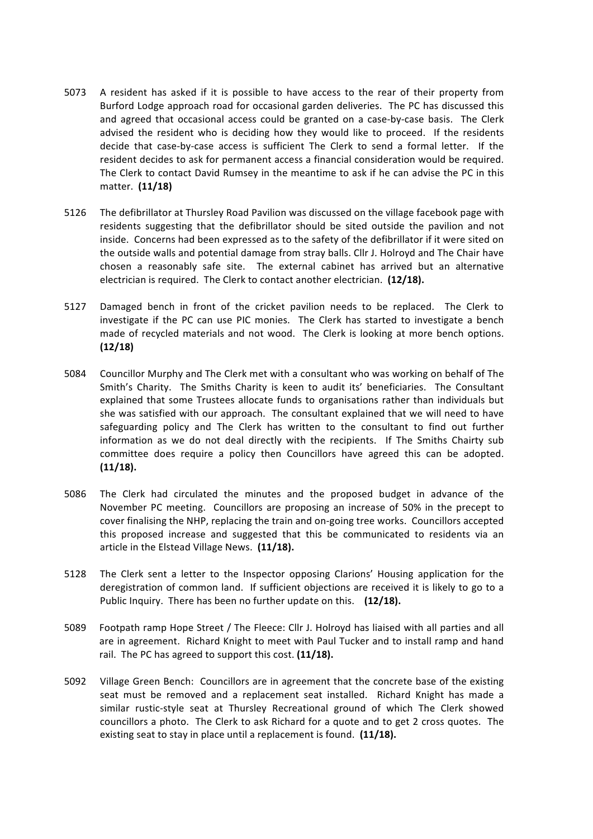- 5073 A resident has asked if it is possible to have access to the rear of their property from Burford Lodge approach road for occasional garden deliveries. The PC has discussed this and agreed that occasional access could be granted on a case-by-case basis. The Clerk advised the resident who is deciding how they would like to proceed. If the residents decide that case-by-case access is sufficient The Clerk to send a formal letter. If the resident decides to ask for permanent access a financial consideration would be required. The Clerk to contact David Rumsey in the meantime to ask if he can advise the PC in this matter. **(11/18)**
- 5126 The defibrillator at Thursley Road Pavilion was discussed on the village facebook page with residents suggesting that the defibrillator should be sited outside the pavilion and not inside. Concerns had been expressed as to the safety of the defibrillator if it were sited on the outside walls and potential damage from stray balls. Cllr J. Holroyd and The Chair have chosen a reasonably safe site. The external cabinet has arrived but an alternative electrician is required. The Clerk to contact another electrician. (12/18).
- 5127 Damaged bench in front of the cricket pavilion needs to be replaced. The Clerk to investigate if the PC can use PIC monies. The Clerk has started to investigate a bench made of recycled materials and not wood. The Clerk is looking at more bench options. **(12/18)**
- 5084 Councillor Murphy and The Clerk met with a consultant who was working on behalf of The Smith's Charity. The Smiths Charity is keen to audit its' beneficiaries. The Consultant explained that some Trustees allocate funds to organisations rather than individuals but she was satisfied with our approach. The consultant explained that we will need to have safeguarding policy and The Clerk has written to the consultant to find out further information as we do not deal directly with the recipients. If The Smiths Chairty sub committee does require a policy then Councillors have agreed this can be adopted. **(11/18).**
- 5086 The Clerk had circulated the minutes and the proposed budget in advance of the November PC meeting. Councillors are proposing an increase of 50% in the precept to cover finalising the NHP, replacing the train and on-going tree works. Councillors accepted this proposed increase and suggested that this be communicated to residents via an article in the Elstead Village News. (11/18).
- 5128 The Clerk sent a letter to the Inspector opposing Clarions' Housing application for the deregistration of common land. If sufficient objections are received it is likely to go to a Public Inquiry. There has been no further update on this. (12/18).
- 5089 Footpath ramp Hope Street / The Fleece: Cllr J. Holroyd has liaised with all parties and all are in agreement. Richard Knight to meet with Paul Tucker and to install ramp and hand rail. The PC has agreed to support this cost. (11/18).
- 5092 Village Green Bench: Councillors are in agreement that the concrete base of the existing seat must be removed and a replacement seat installed. Richard Knight has made a similar rustic-style seat at Thursley Recreational ground of which The Clerk showed councillors a photo. The Clerk to ask Richard for a quote and to get 2 cross quotes. The existing seat to stay in place until a replacement is found. (11/18).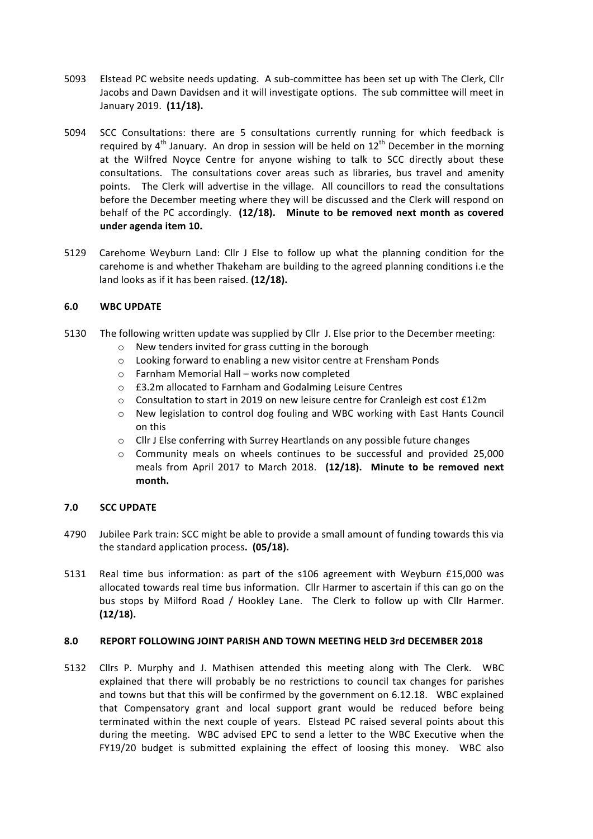- 5093 Elstead PC website needs updating. A sub-committee has been set up with The Clerk, Cllr Jacobs and Dawn Davidsen and it will investigate options. The sub committee will meet in January 2019. (11/18).
- 5094 SCC Consultations: there are 5 consultations currently running for which feedback is required by  $4<sup>th</sup>$  January. An drop in session will be held on  $12<sup>th</sup>$  December in the morning at the Wilfred Noyce Centre for anyone wishing to talk to SCC directly about these consultations. The consultations cover areas such as libraries, bus travel and amenity points. The Clerk will advertise in the village. All councillors to read the consultations before the December meeting where they will be discussed and the Clerk will respond on behalf of the PC accordingly. (12/18). Minute to be removed next month as covered **under agenda item 10.**
- 5129 Carehome Weyburn Land: Cllr J Else to follow up what the planning condition for the carehome is and whether Thakeham are building to the agreed planning conditions i.e the land looks as if it has been raised. (12/18).

# **6.0 WBC UPDATE**

- 5130 The following written update was supplied by Cllr J. Else prior to the December meeting:
	- $\circ$  New tenders invited for grass cutting in the borough
	- $\circ$  Looking forward to enabling a new visitor centre at Frensham Ponds
	- $\circ$  Farnham Memorial Hall works now completed
	- o £3.2m allocated to Farnham and Godalming Leisure Centres
	- $\circ$  Consultation to start in 2019 on new leisure centre for Cranleigh est cost £12m
	- $\circ$  New legislation to control dog fouling and WBC working with East Hants Council on this
	- $\circ$  Cllr J Else conferring with Surrey Heartlands on any possible future changes
	- $\circ$  Community meals on wheels continues to be successful and provided 25,000 meals from April 2017 to March 2018. (12/18). Minute to be removed next **month.**

## **7.0 SCC UPDATE**

- 4790 Jubilee Park train: SCC might be able to provide a small amount of funding towards this via the standard application process. (05/18).
- 5131 Real time bus information: as part of the s106 agreement with Weyburn £15,000 was allocated towards real time bus information. Cllr Harmer to ascertain if this can go on the bus stops by Milford Road / Hookley Lane. The Clerk to follow up with Cllr Harmer. **(12/18).**

## **8.0 REPORT FOLLOWING JOINT PARISH AND TOWN MEETING HELD 3rd DECEMBER 2018**

5132 Cllrs P. Murphy and J. Mathisen attended this meeting along with The Clerk. WBC explained that there will probably be no restrictions to council tax changes for parishes and towns but that this will be confirmed by the government on 6.12.18. WBC explained that Compensatory grant and local support grant would be reduced before being terminated within the next couple of years. Elstead PC raised several points about this during the meeting. WBC advised EPC to send a letter to the WBC Executive when the FY19/20 budget is submitted explaining the effect of loosing this money. WBC also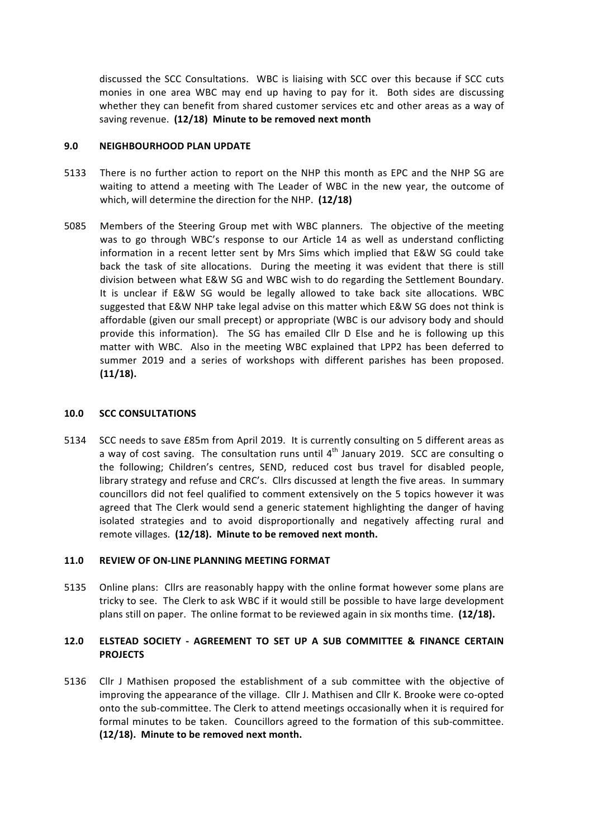discussed the SCC Consultations. WBC is liaising with SCC over this because if SCC cuts monies in one area WBC may end up having to pay for it. Both sides are discussing whether they can benefit from shared customer services etc and other areas as a way of saving revenue. (12/18) Minute to be removed next month

#### **9.0 NEIGHBOURHOOD PLAN UPDATE**

- 5133 There is no further action to report on the NHP this month as EPC and the NHP SG are waiting to attend a meeting with The Leader of WBC in the new year, the outcome of which, will determine the direction for the NHP. (12/18)
- 5085 Members of the Steering Group met with WBC planners. The objective of the meeting was to go through WBC's response to our Article 14 as well as understand conflicting information in a recent letter sent by Mrs Sims which implied that E&W SG could take back the task of site allocations. During the meeting it was evident that there is still division between what E&W SG and WBC wish to do regarding the Settlement Boundary. It is unclear if E&W SG would be legally allowed to take back site allocations. WBC suggested that E&W NHP take legal advise on this matter which E&W SG does not think is affordable (given our small precept) or appropriate (WBC is our advisory body and should provide this information). The SG has emailed Cllr D Else and he is following up this matter with WBC. Also in the meeting WBC explained that LPP2 has been deferred to summer 2019 and a series of workshops with different parishes has been proposed. **(11/18).**

#### **10.0 SCC CONSULTATIONS**

5134 SCC needs to save £85m from April 2019. It is currently consulting on 5 different areas as a way of cost saving. The consultation runs until  $4<sup>th</sup>$  January 2019. SCC are consulting o the following; Children's centres, SEND, reduced cost bus travel for disabled people, library strategy and refuse and CRC's. Cllrs discussed at length the five areas. In summary councillors did not feel qualified to comment extensively on the 5 topics however it was agreed that The Clerk would send a generic statement highlighting the danger of having isolated strategies and to avoid disproportionally and negatively affecting rural and remote villages. (12/18). Minute to be removed next month.

## **11.0 REVIEW OF ON-LINE PLANNING MEETING FORMAT**

5135 Online plans: Cllrs are reasonably happy with the online format however some plans are tricky to see. The Clerk to ask WBC if it would still be possible to have large development plans still on paper. The online format to be reviewed again in six months time. (12/18).

# **12.0 ELSTEAD SOCIETY - AGREEMENT TO SET UP A SUB COMMITTEE & FINANCE CERTAIN PROJECTS**

5136 Cllr J Mathisen proposed the establishment of a sub committee with the objective of improving the appearance of the village. Cllr J. Mathisen and Cllr K. Brooke were co-opted onto the sub-committee. The Clerk to attend meetings occasionally when it is required for formal minutes to be taken. Councillors agreed to the formation of this sub-committee. (12/18). Minute to be removed next month.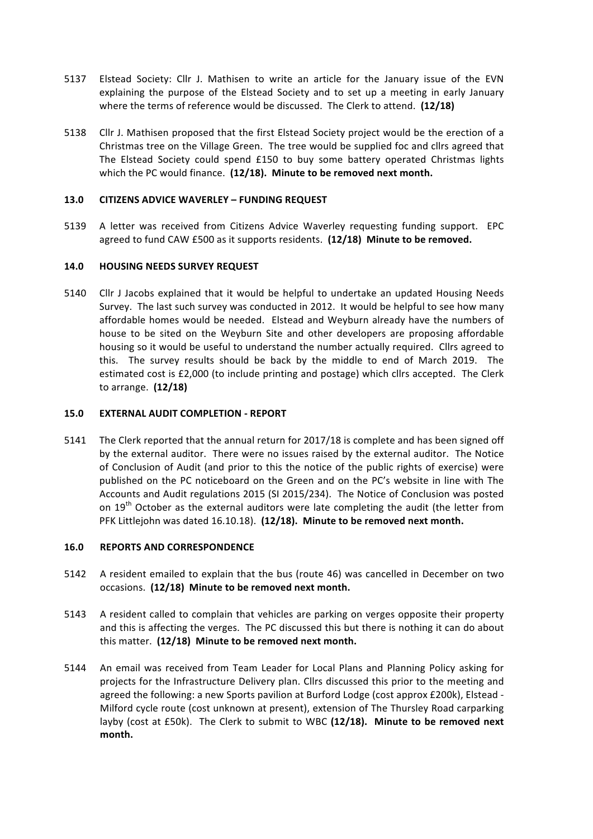- 5137 Elstead Society: Cllr J. Mathisen to write an article for the January issue of the EVN explaining the purpose of the Elstead Society and to set up a meeting in early January where the terms of reference would be discussed. The Clerk to attend. **(12/18)**
- 5138 Cllr J. Mathisen proposed that the first Elstead Society project would be the erection of a Christmas tree on the Village Green. The tree would be supplied foc and cllrs agreed that The Elstead Society could spend £150 to buy some battery operated Christmas lights which the PC would finance. (12/18). Minute to be removed next month.

### **13.0 CITIZENS ADVICE WAVERLEY – FUNDING REQUEST**

5139 A letter was received from Citizens Advice Waverley requesting funding support. EPC agreed to fund CAW £500 as it supports residents. (12/18) Minute to be removed.

#### **14.0 HOUSING NEEDS SURVEY REQUEST**

5140 Cllr J Jacobs explained that it would be helpful to undertake an updated Housing Needs Survey. The last such survey was conducted in 2012. It would be helpful to see how many affordable homes would be needed. Elstead and Weyburn already have the numbers of house to be sited on the Weyburn Site and other developers are proposing affordable housing so it would be useful to understand the number actually required. Cllrs agreed to this. The survey results should be back by the middle to end of March 2019. The estimated cost is £2,000 (to include printing and postage) which cllrs accepted. The Clerk to arrange. **(12/18)**

#### **15.0 EXTERNAL AUDIT COMPLETION - REPORT**

5141 The Clerk reported that the annual return for 2017/18 is complete and has been signed off by the external auditor. There were no issues raised by the external auditor. The Notice of Conclusion of Audit (and prior to this the notice of the public rights of exercise) were published on the PC noticeboard on the Green and on the PC's website in line with The Accounts and Audit regulations 2015 (SI 2015/234). The Notice of Conclusion was posted on  $19<sup>th</sup>$  October as the external auditors were late completing the audit (the letter from PFK Littlejohn was dated 16.10.18). (12/18). Minute to be removed next month.

#### **16.0 REPORTS AND CORRESPONDENCE**

- 5142 A resident emailed to explain that the bus (route 46) was cancelled in December on two occasions. (12/18) Minute to be removed next month.
- 5143 A resident called to complain that vehicles are parking on verges opposite their property and this is affecting the verges. The PC discussed this but there is nothing it can do about this matter. (12/18) Minute to be removed next month.
- 5144 An email was received from Team Leader for Local Plans and Planning Policy asking for projects for the Infrastructure Delivery plan. Cllrs discussed this prior to the meeting and agreed the following: a new Sports pavilion at Burford Lodge (cost approx £200k), Elstead -Milford cycle route (cost unknown at present), extension of The Thursley Road carparking layby (cost at £50k). The Clerk to submit to WBC (12/18). Minute to be removed next **month.**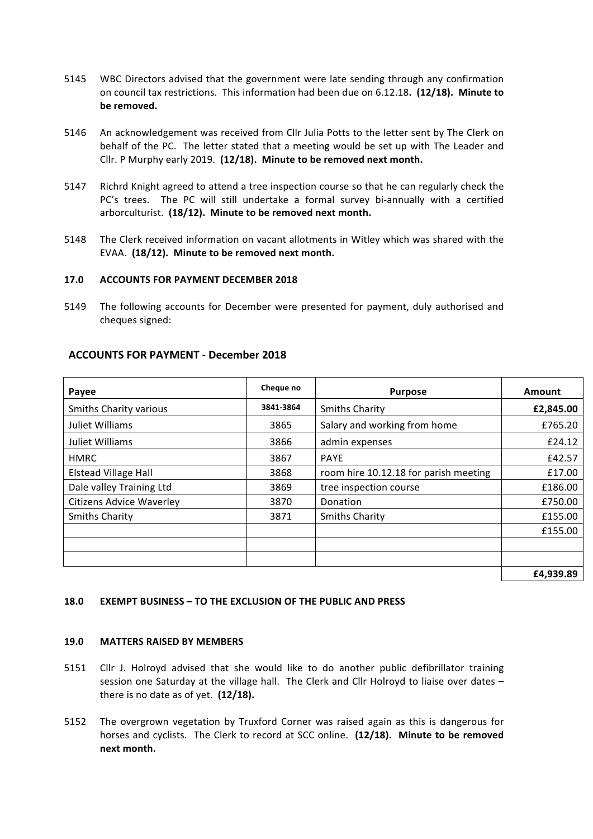- 5145 WBC Directors advised that the government were late sending through any confirmation on council tax restrictions. This information had been due on 6.12.18. (12/18). Minute to be removed.
- 5146 An acknowledgement was received from Cllr Julia Potts to the letter sent by The Clerk on behalf of the PC. The letter stated that a meeting would be set up with The Leader and Cllr. P Murphy early 2019. (12/18). Minute to be removed next month.
- 5147 Richrd Knight agreed to attend a tree inspection course so that he can regularly check the PC's trees. The PC will still undertake a formal survey bi-annually with a certified arborculturist. (18/12). Minute to be removed next month.
- 5148 The Clerk received information on vacant allotments in Witley which was shared with the EVAA. (18/12). Minute to be removed next month.

#### **17.0 ACCOUNTS FOR PAYMENT DECEMBER 2018**

5149 The following accounts for December were presented for payment, duly authorised and cheques signed:

| Payee                           | Cheque no | <b>Purpose</b>                        | Amount    |
|---------------------------------|-----------|---------------------------------------|-----------|
| <b>Smiths Charity various</b>   | 3841-3864 | <b>Smiths Charity</b>                 | £2,845.00 |
| Juliet Williams                 | 3865      | Salary and working from home          | £765.20   |
| Juliet Williams                 | 3866      | admin expenses                        | £24.12    |
| <b>HMRC</b>                     | 3867      | <b>PAYE</b>                           | £42.57    |
| <b>Elstead Village Hall</b>     | 3868      | room hire 10.12.18 for parish meeting | £17.00    |
| Dale valley Training Ltd        | 3869      | tree inspection course                | £186.00   |
| <b>Citizens Advice Waverley</b> | 3870      | Donation                              | £750.00   |
| <b>Smiths Charity</b>           | 3871      | <b>Smiths Charity</b>                 | £155.00   |
|                                 |           |                                       | £155.00   |
|                                 |           |                                       |           |
|                                 |           |                                       |           |
|                                 |           |                                       | £4,939.89 |

#### **ACCOUNTS FOR PAYMENT - December 2018**

#### **18.0 EXEMPT BUSINESS – TO THE EXCLUSION OF THE PUBLIC AND PRESS**

#### **19.0 MATTERS RAISED BY MEMBERS**

- 5151 Cllr J. Holroyd advised that she would like to do another public defibrillator training session one Saturday at the village hall. The Clerk and Cllr Holroyd to liaise over dates  $$ there is no date as of yet.  $(12/18)$ .
- 5152 The overgrown vegetation by Truxford Corner was raised again as this is dangerous for horses and cyclists. The Clerk to record at SCC online. (12/18). Minute to be removed **next month.**